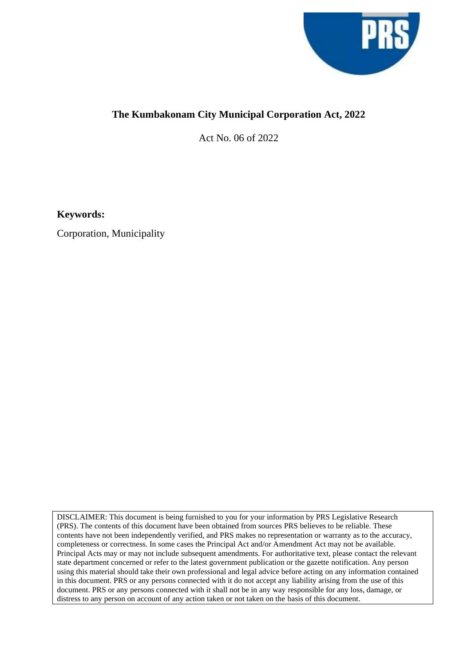

## **The Kumbakonam City Municipal Corporation Act, 2022**

Act No. 06 of 2022

**Keywords:**

Corporation, Municipality

DISCLAIMER: This document is being furnished to you for your information by PRS Legislative Research (PRS). The contents of this document have been obtained from sources PRS believes to be reliable. These contents have not been independently verified, and PRS makes no representation or warranty as to the accuracy, completeness or correctness. In some cases the Principal Act and/or Amendment Act may not be available. Principal Acts may or may not include subsequent amendments. For authoritative text, please contact the relevant state department concerned or refer to the latest government publication or the gazette notification. Any person using this material should take their own professional and legal advice before acting on any information contained in this document. PRS or any persons connected with it do not accept any liability arising from the use of this document. PRS or any persons connected with it shall not be in any way responsible for any loss, damage, or distress to any person on account of any action taken or not taken on the basis of this document.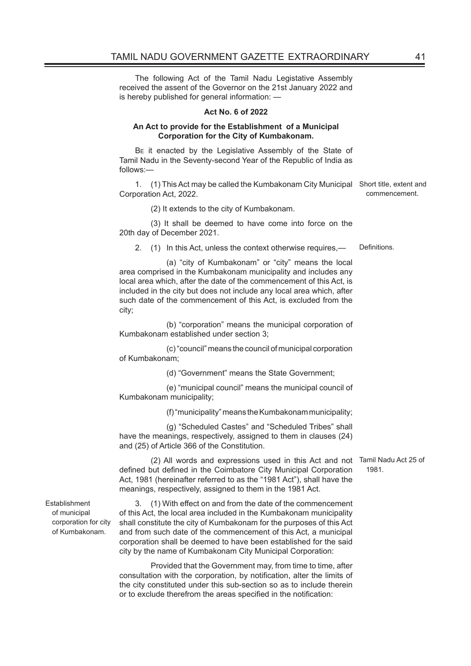The following Act of the Tamil Nadu Legistative Assembly received the assent of the Governor on the 21st January 2022 and is hereby published for general information: —

## **Act No. 6 of 2022**

## **An Act to provide for the Establishment of a Municipal Corporation for the City of Kumbakonam.**

BE it enacted by the Legislative Assembly of the State of Tamil Nadu in the Seventy-second Year of the Republic of India as follows:—

1. (1) This Act may be called the Kumbakonam City Municipal Short title, extent and Corporation Act, 2022. commencement.

(2) It extends to the city of Kumbakonam.

(3) It shall be deemed to have come into force on the 20th day of December 2021.

2. (1) In this Act, unless the context otherwise requires, - Definitions.

 (a) "city of Kumbakonam" or "city" means the local area comprised in the Kumbakonam municipality and includes any local area which, after the date of the commencement of this Act, is included in the city but does not include any local area which, after such date of the commencement of this Act, is excluded from the city;

 (b) "corporation" means the municipal corporation of Kumbakonam established under section 3;

 (c) "council" means the council of municipal corporation of Kumbakonam;

(d) "Government" means the State Government;

 (e) "municipal council" means the municipal council of Kumbakonam municipality;

(f) "municipality" means the Kumbakonam municipality;

 (g) "Scheduled Castes" and "Scheduled Tribes" shall have the meanings, respectively, assigned to them in clauses (24) and (25) of Article 366 of the Constitution.

(2) All words and expressions used in this Act and not Tamil Nadu Act 25 of defined but defined in the Coimbatore City Municipal Corporation Act, 1981 (hereinafter referred to as the "1981 Act"), shall have the meanings, respectively, assigned to them in the 1981 Act.

1981.

Establishment of municipal corporation for city of Kumbakonam.

3. (1) With effect on and from the date of the commencement of this Act, the local area included in the Kumbakonam municipality shall constitute the city of Kumbakonam for the purposes of this Act and from such date of the commencement of this Act, a municipal corporation shall be deemed to have been established for the said city by the name of Kumbakonam City Municipal Corporation:

Provided that the Government may, from time to time, after consultation with the corporation, by notification, alter the limits of the city constituted under this sub-section so as to include therein or to exclude therefrom the areas specified in the notification: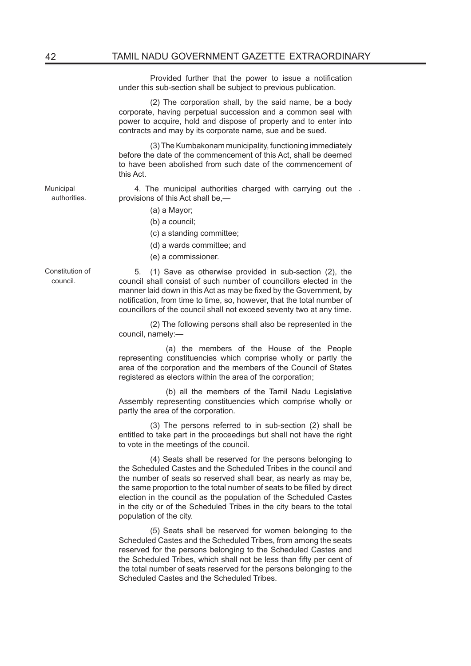Provided further that the power to issue a notification under this sub-section shall be subject to previous publication.

(2) The corporation shall, by the said name, be a body corporate, having perpetual succession and a common seal with power to acquire, hold and dispose of property and to enter into contracts and may by its corporate name, sue and be sued.

(3) The Kumbakonam municipality, functioning immediately before the date of the commencement of this Act, shall be deemed to have been abolished from such date of the commencement of this Act.

4. The municipal authorities charged with carrying out the . provisions of this Act shall be,—

- (a) a Mayor;
- (b) a council;
- (c) a standing committee;
- (d) a wards committee; and
- (e) a commissioner.

Constitution of council.

Municipal authorities.

> 5. (1) Save as otherwise provided in sub-section (2), the council shall consist of such number of councillors elected in the manner laid down in this Act as may be fixed by the Government, by notification, from time to time, so, however, that the total number of councillors of the council shall not exceed seventy two at any time.

> (2) The following persons shall also be represented in the council, namely:—

> (a) the members of the House of the People representing constituencies which comprise wholly or partly the area of the corporation and the members of the Council of States registered as electors within the area of the corporation;

> (b) all the members of the Tamil Nadu Legislative Assembly representing constituencies which comprise wholly or partly the area of the corporation.

> (3) The persons referred to in sub-section (2) shall be entitled to take part in the proceedings but shall not have the right to vote in the meetings of the council.

> (4) Seats shall be reserved for the persons belonging to the Scheduled Castes and the Scheduled Tribes in the council and the number of seats so reserved shall bear, as nearly as may be, the same proportion to the total number of seats to be filled by direct election in the council as the population of the Scheduled Castes in the city or of the Scheduled Tribes in the city bears to the total population of the city.

> (5) Seats shall be reserved for women belonging to the Scheduled Castes and the Scheduled Tribes, from among the seats reserved for the persons belonging to the Scheduled Castes and the Scheduled Tribes, which shall not be less than fifty per cent of the total number of seats reserved for the persons belonging to the Scheduled Castes and the Scheduled Tribes.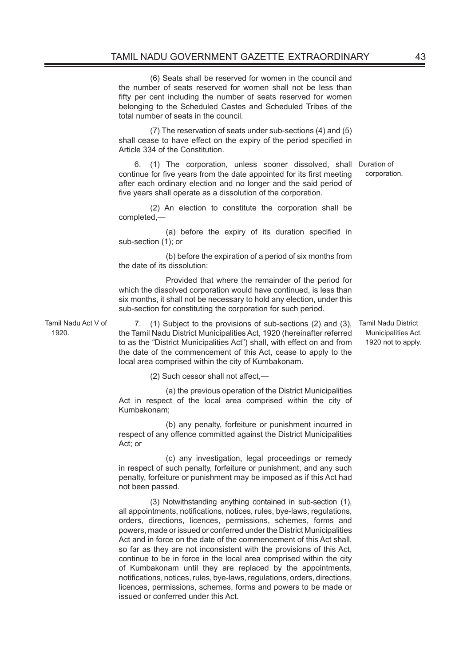(6) Seats shall be reserved for women in the council and the number of seats reserved for women shall not be less than fifty per cent including the number of seats reserved for women belonging to the Scheduled Castes and Scheduled Tribes of the total number of seats in the council.

(7) The reservation of seats under sub-sections (4) and (5) shall cease to have effect on the expiry of the period specified in Article 334 of the Constitution.

6. (1) The corporation, unless sooner dissolved, shall Duration of continue for five years from the date appointed for its first meeting after each ordinary election and no longer and the said period of five years shall operate as a dissolution of the corporation.

(2) An election to constitute the corporation shall be completed,—

(a) before the expiry of its duration specified in sub-section (1); or

 (b) before the expiration of a period of six months from the date of its dissolution:

 Provided that where the remainder of the period for which the dissolved corporation would have continued, is less than six months, it shall not be necessary to hold any election, under this sub-section for constituting the corporation for such period.

Tamil Nadu Act V of  $1920$ 

7. (1) Subject to the provisions of sub-sections (2) and (3), Tamil Nadu District the Tamil Nadu District Municipalities Act, 1920 (hereinafter referred to as the "District Municipalities Act") shall, with effect on and from the date of the commencement of this Act, cease to apply to the local area comprised within the city of Kumbakonam.

(2) Such cessor shall not affect,—

 (a) the previous operation of the District Municipalities Act in respect of the local area comprised within the city of Kumbakonam;

 (b) any penalty, forfeiture or punishment incurred in respect of any offence committed against the District Municipalities Act; or

 (c) any investigation, legal proceedings or remedy in respect of such penalty, forfeiture or punishment, and any such penalty, forfeiture or punishment may be imposed as if this Act had not been passed.

(3) Notwithstanding anything contained in sub-section (1), all appointments, notifications, notices, rules, bye-laws, regulations, orders, directions, licences, permissions, schemes, forms and powers, made or issued or conferred under the District Municipalities Act and in force on the date of the commencement of this Act shall, so far as they are not inconsistent with the provisions of this Act, continue to be in force in the local area comprised within the city of Kumbakonam until they are replaced by the appointments, notifications, notices, rules, bye-laws, regulations, orders, directions, licences, permissions, schemes, forms and powers to be made or issued or conferred under this Act.

Municipalities Act, 1920 not to apply.

corporation.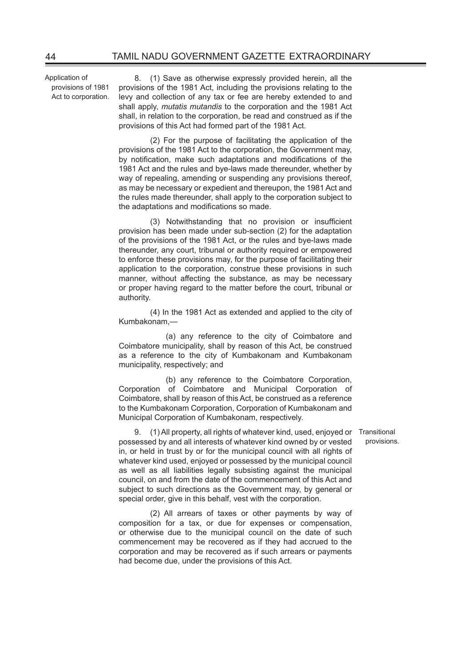Application of provisions of 1981 Act to corporation.

8. (1) Save as otherwise expressly provided herein, all the provisions of the 1981 Act, including the provisions relating to the levy and collection of any tax or fee are hereby extended to and shall apply, *mutatis mutandis* to the corporation and the 1981 Act shall, in relation to the corporation, be read and construed as if the provisions of this Act had formed part of the 1981 Act.

(2) For the purpose of facilitating the application of the provisions of the 1981 Act to the corporation, the Government may, by notification, make such adaptations and modifications of the 1981 Act and the rules and bye-laws made thereunder, whether by way of repealing, amending or suspending any provisions thereof. as may be necessary or expedient and thereupon, the 1981 Act and the rules made thereunder, shall apply to the corporation subject to the adaptations and modifications so made.

(3) Notwithstanding that no provision or insufficient provision has been made under sub-section (2) for the adaptation of the provisions of the 1981 Act, or the rules and bye-laws made thereunder, any court, tribunal or authority required or empowered to enforce these provisions may, for the purpose of facilitating their application to the corporation, construe these provisions in such manner, without affecting the substance, as may be necessary or proper having regard to the matter before the court, tribunal or authority.

(4) In the 1981 Act as extended and applied to the city of Kumbakonam,—

 (a) any reference to the city of Coimbatore and Coimbatore municipality, shall by reason of this Act, be construed as a reference to the city of Kumbakonam and Kumbakonam municipality, respectively; and

 (b) any reference to the Coimbatore Corporation, Corporation of Coimbatore and Municipal Corporation of Coimbatore, shall by reason of this Act, be construed as a reference to the Kumbakonam Corporation, Corporation of Kumbakonam and Municipal Corporation of Kumbakonam, respectively.

9. (1) All property, all rights of whatever kind, used, enjoyed or Transitional possessed by and all interests of whatever kind owned by or vested in, or held in trust by or for the municipal council with all rights of whatever kind used, enjoyed or possessed by the municipal council as well as all liabilities legally subsisting against the municipal council, on and from the date of the commencement of this Act and subject to such directions as the Government may, by general or special order, give in this behalf, vest with the corporation.

(2) All arrears of taxes or other payments by way of composition for a tax, or due for expenses or compensation, or otherwise due to the municipal council on the date of such commencement may be recovered as if they had accrued to the corporation and may be recovered as if such arrears or payments had become due, under the provisions of this Act.

provisions.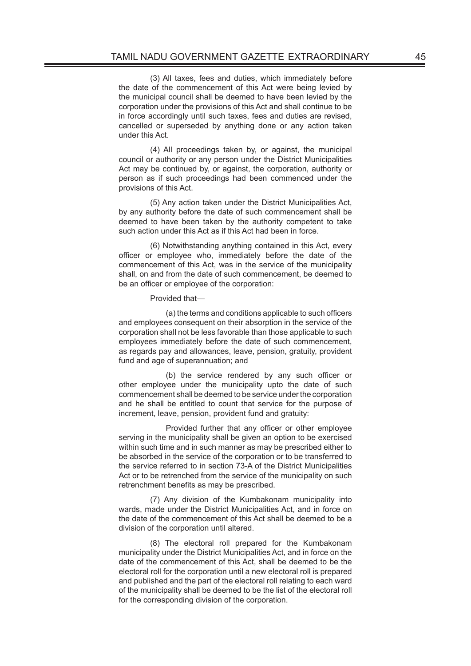(3) All taxes, fees and duties, which immediately before the date of the commencement of this Act were being levied by the municipal council shall be deemed to have been levied by the corporation under the provisions of this Act and shall continue to be in force accordingly until such taxes, fees and duties are revised, cancelled or superseded by anything done or any action taken under this Act.

(4) All proceedings taken by, or against, the municipal council or authority or any person under the District Municipalities Act may be continued by, or against, the corporation, authority or person as if such proceedings had been commenced under the provisions of this Act.

(5) Any action taken under the District Municipalities Act, by any authority before the date of such commencement shall be deemed to have been taken by the authority competent to take such action under this Act as if this Act had been in force.

(6) Notwithstanding anything contained in this Act, every officer or employee who, immediately before the date of the commencement of this Act, was in the service of the municipality shall, on and from the date of such commencement, be deemed to be an officer or employee of the corporation:

Provided that—

(a) the terms and conditions applicable to such officers and employees consequent on their absorption in the service of the corporation shall not be less favorable than those applicable to such employees immediately before the date of such commencement, as regards pay and allowances, leave, pension, gratuity, provident fund and age of superannuation; and

(b) the service rendered by any such officer or other employee under the municipality upto the date of such commencement shall be deemed to be service under the corporation and he shall be entitled to count that service for the purpose of increment, leave, pension, provident fund and gratuity:

Provided further that any officer or other employee serving in the municipality shall be given an option to be exercised within such time and in such manner as may be prescribed either to be absorbed in the service of the corporation or to be transferred to the service referred to in section 73-A of the District Municipalities Act or to be retrenched from the service of the municipality on such retrenchment benefits as may be prescribed.

(7) Any division of the Kumbakonam municipality into wards, made under the District Municipalities Act, and in force on the date of the commencement of this Act shall be deemed to be a division of the corporation until altered.

(8) The electoral roll prepared for the Kumbakonam municipality under the District Municipalities Act, and in force on the date of the commencement of this Act, shall be deemed to be the electoral roll for the corporation until a new electoral roll is prepared and published and the part of the electoral roll relating to each ward of the municipality shall be deemed to be the list of the electoral roll for the corresponding division of the corporation.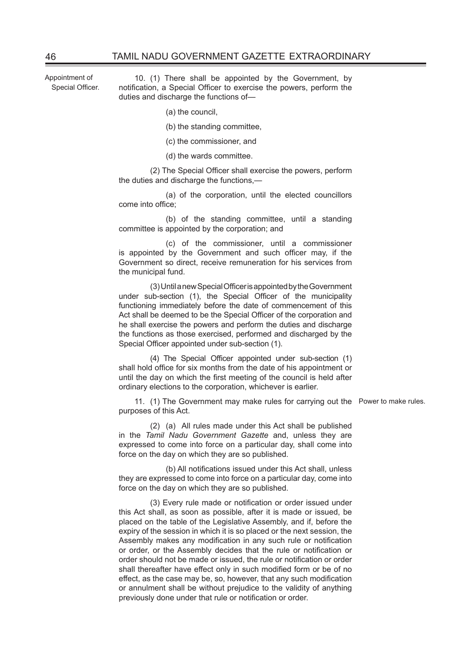Appointment of Special Officer.

10. (1) There shall be appointed by the Government, by notification, a Special Officer to exercise the powers, perform the duties and discharge the functions of—

- (a) the council,
- (b) the standing committee,
- (c) the commissioner, and
- (d) the wards committee.

(2) The Special Officer shall exercise the powers, perform the duties and discharge the functions,—

 (a) of the corporation, until the elected councillors come into office;

 (b) of the standing committee, until a standing committee is appointed by the corporation; and

 (c) of the commissioner, until a commissioner is appointed by the Government and such officer may, if the Government so direct, receive remuneration for his services from the municipal fund.

(3) Until a new Special Officer is appointed by the Government under sub-section (1), the Special Officer of the municipality functioning immediately before the date of commencement of this Act shall be deemed to be the Special Officer of the corporation and he shall exercise the powers and perform the duties and discharge the functions as those exercised, performed and discharged by the Special Officer appointed under sub-section (1).

(4) The Special Officer appointed under sub-section (1) shall hold office for six months from the date of his appointment or until the day on which the first meeting of the council is held after ordinary elections to the corporation, whichever is earlier.

11. (1) The Government may make rules for carrying out the Power to make rules. purposes of this Act.

(2) (a) All rules made under this Act shall be published in the *Tamil Nadu Government Gazette* and, unless they are expressed to come into force on a particular day, shall come into force on the day on which they are so published.

(b) All notifications issued under this Act shall, unless they are expressed to come into force on a particular day, come into force on the day on which they are so published.

(3) Every rule made or notification or order issued under this Act shall, as soon as possible, after it is made or issued, be placed on the table of the Legislative Assembly, and if, before the expiry of the session in which it is so placed or the next session, the Assembly makes any modification in any such rule or notification or order, or the Assembly decides that the rule or notification or order should not be made or issued, the rule or notification or order shall thereafter have effect only in such modified form or be of no effect, as the case may be, so, however, that any such modification or annulment shall be without prejudice to the validity of anything previously done under that rule or notification or order.